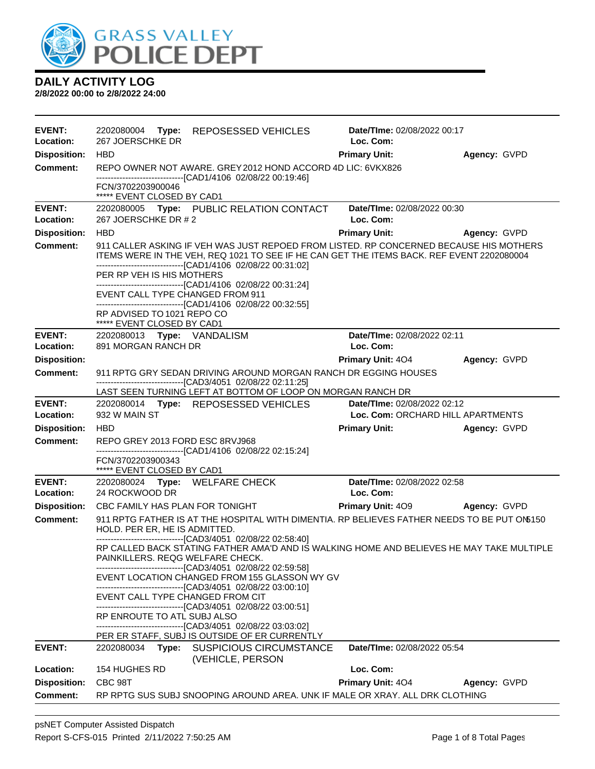

| <b>EVENT:</b><br>Location: | 2202080004 Type: REPOSESSED VEHICLES<br>267 JOERSCHKE DR                                                                                                                                                                                            | <b>Date/TIme: 02/08/2022 00:17</b><br>Loc. Com: |              |
|----------------------------|-----------------------------------------------------------------------------------------------------------------------------------------------------------------------------------------------------------------------------------------------------|-------------------------------------------------|--------------|
| <b>Disposition:</b>        | <b>HBD</b>                                                                                                                                                                                                                                          | <b>Primary Unit:</b>                            | Agency: GVPD |
| Comment:                   | REPO OWNER NOT AWARE. GREY 2012 HOND ACCORD 4D LIC: 6VKX826                                                                                                                                                                                         |                                                 |              |
|                            | -------------------------------[CAD1/4106 02/08/22 00:19:46]                                                                                                                                                                                        |                                                 |              |
|                            | FCN/3702203900046<br>***** EVENT CLOSED BY CAD1                                                                                                                                                                                                     |                                                 |              |
| <b>EVENT:</b>              | 2202080005 Type: PUBLIC RELATION CONTACT                                                                                                                                                                                                            | Date/TIme: 02/08/2022 00:30                     |              |
| Location:                  | 267 JOERSCHKE DR # 2                                                                                                                                                                                                                                | Loc. Com:                                       |              |
| <b>Disposition:</b>        | <b>HBD</b>                                                                                                                                                                                                                                          | <b>Primary Unit:</b>                            | Agency: GVPD |
| <b>Comment:</b>            | 911 CALLER ASKING IF VEH WAS JUST REPOED FROM LISTED. RP CONCERNED BECAUSE HIS MOTHERS<br>ITEMS WERE IN THE VEH, REQ 1021 TO SEE IF HE CAN GET THE ITEMS BACK. REF EVENT 2202080004<br>-------------------------------[CAD1/4106 02/08/22 00:31:02] |                                                 |              |
|                            | PER RP VEH IS HIS MOTHERS                                                                                                                                                                                                                           |                                                 |              |
|                            | -------------------------------[CAD1/4106 02/08/22 00:31:24]<br>EVENT CALL TYPE CHANGED FROM 911                                                                                                                                                    |                                                 |              |
|                            | -------------------------------[CAD1/4106 02/08/22 00:32:55]                                                                                                                                                                                        |                                                 |              |
|                            | RP ADVISED TO 1021 REPO CO                                                                                                                                                                                                                          |                                                 |              |
| <b>EVENT:</b>              | ***** EVENT CLOSED BY CAD1<br>2202080013 Type: VANDALISM                                                                                                                                                                                            | Date/TIme: 02/08/2022 02:11                     |              |
| Location:                  | 891 MORGAN RANCH DR                                                                                                                                                                                                                                 | Loc. Com:                                       |              |
| <b>Disposition:</b>        |                                                                                                                                                                                                                                                     | <b>Primary Unit: 404</b>                        | Agency: GVPD |
| <b>Comment:</b>            | 911 RPTG GRY SEDAN DRIVING AROUND MORGAN RANCH DR EGGING HOUSES                                                                                                                                                                                     |                                                 |              |
|                            | -------------------------------[CAD3/4051_02/08/22 02:11:25]                                                                                                                                                                                        |                                                 |              |
| <b>EVENT:</b>              | LAST SEEN TURNING LEFT AT BOTTOM OF LOOP ON MORGAN RANCH DR                                                                                                                                                                                         | Date/TIme: 02/08/2022 02:12                     |              |
| Location:                  | 2202080014 Type: REPOSESSED VEHICLES<br>932 W MAIN ST                                                                                                                                                                                               | Loc. Com: ORCHARD HILL APARTMENTS               |              |
| <b>Disposition:</b>        | <b>HBD</b>                                                                                                                                                                                                                                          | <b>Primary Unit:</b>                            | Agency: GVPD |
| <b>Comment:</b>            | REPO GREY 2013 FORD ESC 8RVJ968                                                                                                                                                                                                                     |                                                 |              |
|                            | -------------------------------[CAD1/4106 02/08/22 02:15:24]                                                                                                                                                                                        |                                                 |              |
|                            | FCN/3702203900343<br>***** EVENT CLOSED BY CAD1                                                                                                                                                                                                     |                                                 |              |
| <b>EVENT:</b>              | 2202080024 Type: WELFARE CHECK                                                                                                                                                                                                                      | Date/TIme: 02/08/2022 02:58                     |              |
| Location:                  | 24 ROCKWOOD DR                                                                                                                                                                                                                                      | Loc. Com:                                       |              |
| <b>Disposition:</b>        | CBC FAMILY HAS PLAN FOR TONIGHT                                                                                                                                                                                                                     | <b>Primary Unit: 409</b>                        | Agency: GVPD |
| <b>Comment:</b>            | 911 RPTG FATHER IS AT THE HOSPITAL WITH DIMENTIA. RP BELIEVES FATHER NEEDS TO BE PUT ON6150<br>HOLD. PER ER, HE IS ADMITTED.                                                                                                                        |                                                 |              |
|                            | -------------------------------[CAD3/4051 02/08/22 02:58:40]<br>RP CALLED BACK STATING FATHER AMA'D AND IS WALKING HOME AND BELIEVES HE MAY TAKE MULTIPLE<br>PAINKILLERS. REQG WELFARE CHECK.                                                       |                                                 |              |
|                            | -------------------------------[CAD3/4051 02/08/22 02:59:58]<br>EVENT LOCATION CHANGED FROM 155 GLASSON WY GV<br>-------------------------------[CAD3/4051_02/08/22 03:00:10]                                                                       |                                                 |              |
|                            | EVENT CALL TYPE CHANGED FROM CIT<br>-------------------------------[CAD3/4051 02/08/22 03:00:51]                                                                                                                                                    |                                                 |              |
|                            | RP ENROUTE TO ATL SUBJ ALSO<br>-------------------------------[CAD3/4051 02/08/22 03:03:02]                                                                                                                                                         |                                                 |              |
|                            | PER ER STAFF, SUBJ IS OUTSIDE OF ER CURRENTLY                                                                                                                                                                                                       |                                                 |              |
| <b>EVENT:</b>              | 2202080034<br>Type:<br><b>SUSPICIOUS CIRCUMSTANCE</b><br>(VEHICLE, PERSON                                                                                                                                                                           | Date/TIme: 02/08/2022 05:54                     |              |
| Location:                  | 154 HUGHES RD                                                                                                                                                                                                                                       | Loc. Com:                                       |              |
| <b>Disposition:</b>        | CBC 98T                                                                                                                                                                                                                                             | <b>Primary Unit: 404</b>                        | Agency: GVPD |
| <b>Comment:</b>            | RP RPTG SUS SUBJ SNOOPING AROUND AREA. UNK IF MALE OR XRAY. ALL DRK CLOTHING                                                                                                                                                                        |                                                 |              |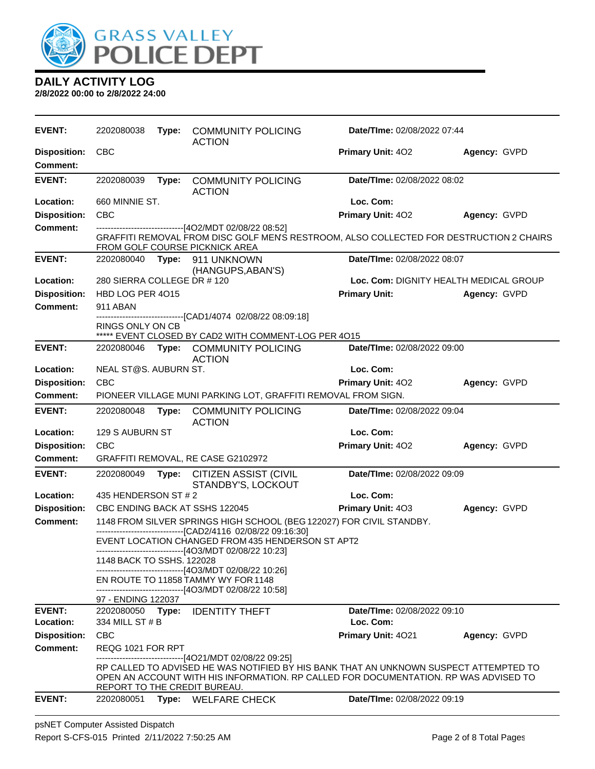

| <b>EVENT:</b>                          | 2202080038                                                                                                                | Type: | <b>COMMUNITY POLICING</b><br><b>ACTION</b>                                                                                                                                                                                                                               | Date/TIme: 02/08/2022 07:44 |                                        |
|----------------------------------------|---------------------------------------------------------------------------------------------------------------------------|-------|--------------------------------------------------------------------------------------------------------------------------------------------------------------------------------------------------------------------------------------------------------------------------|-----------------------------|----------------------------------------|
| <b>Disposition:</b><br><b>Comment:</b> | <b>CBC</b>                                                                                                                |       |                                                                                                                                                                                                                                                                          | <b>Primary Unit: 402</b>    | Agency: GVPD                           |
| <b>EVENT:</b>                          | 2202080039                                                                                                                | Type: | <b>COMMUNITY POLICING</b><br><b>ACTION</b>                                                                                                                                                                                                                               | Date/TIme: 02/08/2022 08:02 |                                        |
| Location:                              | 660 MINNIE ST.                                                                                                            |       |                                                                                                                                                                                                                                                                          | Loc. Com:                   |                                        |
| <b>Disposition:</b>                    | <b>CBC</b>                                                                                                                |       |                                                                                                                                                                                                                                                                          | Primary Unit: 402           | Agency: GVPD                           |
| <b>Comment:</b>                        | GRAFFITI REMOVAL FROM DISC GOLF MEN'S RESTROOM, ALSO COLLECTED FOR DESTRUCTION 2 CHAIRS<br>FROM GOLF COURSE PICKNICK AREA |       |                                                                                                                                                                                                                                                                          |                             |                                        |
| <b>EVENT:</b>                          |                                                                                                                           |       | 2202080040 Type: 911 UNKNOWN<br>(HANGUPS, ABAN'S)                                                                                                                                                                                                                        | Date/TIme: 02/08/2022 08:07 |                                        |
| Location:                              | 280 SIERRA COLLEGE DR # 120                                                                                               |       |                                                                                                                                                                                                                                                                          |                             | Loc. Com: DIGNITY HEALTH MEDICAL GROUP |
| <b>Disposition:</b>                    | HBD LOG PER 4015                                                                                                          |       |                                                                                                                                                                                                                                                                          | <b>Primary Unit:</b>        | Agency: GVPD                           |
| <b>Comment:</b>                        | 911 ABAN                                                                                                                  |       |                                                                                                                                                                                                                                                                          |                             |                                        |
|                                        | <b>RINGS ONLY ON CB</b>                                                                                                   |       | -------------------------------[CAD1/4074_02/08/22_08:09:18]<br>***** EVENT CLOSED BY CAD2 WITH COMMENT-LOG PER 4015                                                                                                                                                     |                             |                                        |
| <b>EVENT:</b>                          | 2202080046                                                                                                                |       | Type: COMMUNITY POLICING                                                                                                                                                                                                                                                 | Date/TIme: 02/08/2022 09:00 |                                        |
|                                        |                                                                                                                           |       | <b>ACTION</b>                                                                                                                                                                                                                                                            |                             |                                        |
| Location:                              | NEAL ST@S. AUBURN ST.                                                                                                     |       |                                                                                                                                                                                                                                                                          | Loc. Com:                   |                                        |
| <b>Disposition:</b>                    | <b>CBC</b>                                                                                                                |       |                                                                                                                                                                                                                                                                          | Primary Unit: 402           | Agency: GVPD                           |
| <b>Comment:</b>                        |                                                                                                                           |       | PIONEER VILLAGE MUNI PARKING LOT, GRAFFITI REMOVAL FROM SIGN.                                                                                                                                                                                                            |                             |                                        |
| <b>EVENT:</b>                          | 2202080048                                                                                                                | Type: | <b>COMMUNITY POLICING</b><br><b>ACTION</b>                                                                                                                                                                                                                               | Date/TIme: 02/08/2022 09:04 |                                        |
| Location:                              | 129 S AUBURN ST                                                                                                           |       |                                                                                                                                                                                                                                                                          | Loc. Com:                   |                                        |
| <b>Disposition:</b>                    | <b>CBC</b>                                                                                                                |       |                                                                                                                                                                                                                                                                          | Primary Unit: 402           | Agency: GVPD                           |
| <b>Comment:</b>                        |                                                                                                                           |       | GRAFFITI REMOVAL, RE CASE G2102972                                                                                                                                                                                                                                       |                             |                                        |
| <b>EVENT:</b>                          | 2202080049                                                                                                                |       | Type: CITIZEN ASSIST (CIVIL<br>STANDBY'S, LOCKOUT                                                                                                                                                                                                                        | Date/TIme: 02/08/2022 09:09 |                                        |
| Location:                              | 435 HENDERSON ST # 2                                                                                                      |       |                                                                                                                                                                                                                                                                          | Loc. Com:                   |                                        |
| <b>Disposition:</b>                    |                                                                                                                           |       | CBC ENDING BACK AT SSHS 122045                                                                                                                                                                                                                                           | Primary Unit: 403           | Agency: GVPD                           |
| <b>Comment:</b>                        |                                                                                                                           |       | 1148 FROM SILVER SPRINGS HIGH SCHOOL (BEG 122027) FOR CIVIL STANDBY.<br>-------------------------------[CAD2/4116 02/08/22 09:16:30]                                                                                                                                     |                             |                                        |
|                                        |                                                                                                                           |       | EVENT LOCATION CHANGED FROM 435 HENDERSON ST APT2<br>-------------------------------[4O3/MDT 02/08/22 10:23]                                                                                                                                                             |                             |                                        |
|                                        | 1148 BACK TO SSHS. 122028                                                                                                 |       | ----------------------------[4O3/MDT 02/08/22 10:26]                                                                                                                                                                                                                     |                             |                                        |
|                                        |                                                                                                                           |       | EN ROUTE TO 11858 TAMMY WY FOR 1148                                                                                                                                                                                                                                      |                             |                                        |
|                                        | 97 - ENDING 122037                                                                                                        |       | -------------------------------[4O3/MDT 02/08/22 10:58]                                                                                                                                                                                                                  |                             |                                        |
| <b>EVENT:</b>                          | 2202080050 <b>Type:</b>                                                                                                   |       | <b>IDENTITY THEFT</b>                                                                                                                                                                                                                                                    | Date/TIme: 02/08/2022 09:10 |                                        |
| Location:                              | 334 MILL ST # B                                                                                                           |       |                                                                                                                                                                                                                                                                          | Loc. Com:                   |                                        |
| <b>Disposition:</b>                    | <b>CBC</b>                                                                                                                |       |                                                                                                                                                                                                                                                                          | Primary Unit: 4021          | Agency: GVPD                           |
| Comment:                               | REQG 1021 FOR RPT                                                                                                         |       |                                                                                                                                                                                                                                                                          |                             |                                        |
|                                        |                                                                                                                           |       | ------------------------------[4O21/MDT 02/08/22 09:25]<br>RP CALLED TO ADVISED HE WAS NOTIFIED BY HIS BANK THAT AN UNKNOWN SUSPECT ATTEMPTED TO<br>OPEN AN ACCOUNT WITH HIS INFORMATION. RP CALLED FOR DOCUMENTATION. RP WAS ADVISED TO<br>REPORT TO THE CREDIT BUREAU. |                             |                                        |
| <b>EVENT:</b>                          | 2202080051                                                                                                                | Type: | <b>WELFARE CHECK</b>                                                                                                                                                                                                                                                     | Date/TIme: 02/08/2022 09:19 |                                        |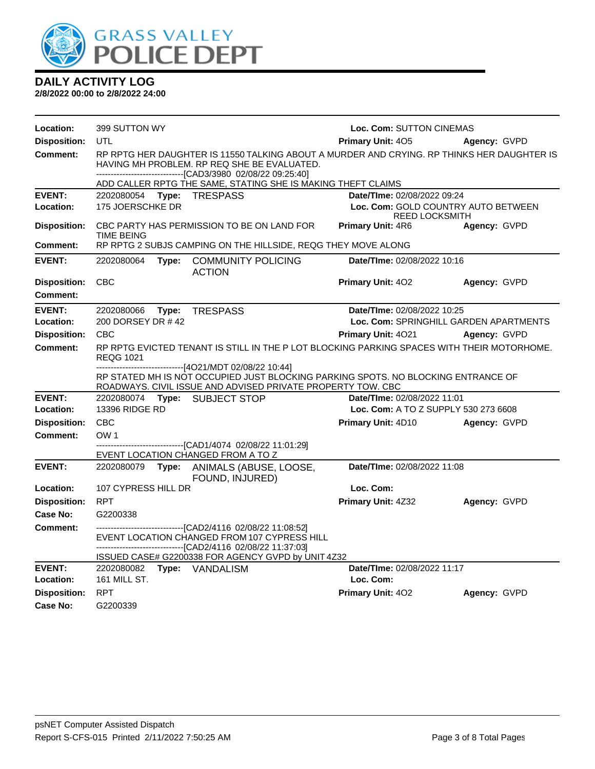

| Location:                  | 399 SUTTON WY                                     |                                                                                                                                                                                                                                                                          | Loc. Com: SUTTON CINEMAS                                     |              |
|----------------------------|---------------------------------------------------|--------------------------------------------------------------------------------------------------------------------------------------------------------------------------------------------------------------------------------------------------------------------------|--------------------------------------------------------------|--------------|
| <b>Disposition:</b>        | <b>UTL</b>                                        |                                                                                                                                                                                                                                                                          | Primary Unit: 405                                            | Agency: GVPD |
| <b>Comment:</b>            |                                                   | RP RPTG HER DAUGHTER IS 11550 TALKING ABOUT A MURDER AND CRYING. RP THINKS HER DAUGHTER IS<br>HAVING MH PROBLEM. RP REQ SHE BE EVALUATED.<br>------------------------------[CAD3/3980 02/08/22 09:25:40]<br>ADD CALLER RPTG THE SAME, STATING SHE IS MAKING THEFT CLAIMS |                                                              |              |
| <b>EVENT:</b>              | 2202080054 Type: TRESPASS                         |                                                                                                                                                                                                                                                                          | Date/TIme: 02/08/2022 09:24                                  |              |
| Location:                  | 175 JOERSCHKE DR                                  |                                                                                                                                                                                                                                                                          | Loc. Com: GOLD COUNTRY AUTO BETWEEN<br><b>REED LOCKSMITH</b> |              |
| <b>Disposition:</b>        | <b>TIME BEING</b>                                 | CBC PARTY HAS PERMISSION TO BE ON LAND FOR                                                                                                                                                                                                                               | <b>Primary Unit: 4R6</b>                                     | Agency: GVPD |
| <b>Comment:</b>            |                                                   | RP RPTG 2 SUBJS CAMPING ON THE HILLSIDE, REQG THEY MOVE ALONG                                                                                                                                                                                                            |                                                              |              |
| <b>EVENT:</b>              | 2202080064                                        | Type: COMMUNITY POLICING<br><b>ACTION</b>                                                                                                                                                                                                                                | Date/TIme: 02/08/2022 10:16                                  |              |
| <b>Disposition:</b>        | <b>CBC</b>                                        |                                                                                                                                                                                                                                                                          | Primary Unit: 402                                            | Agency: GVPD |
| <b>Comment:</b>            |                                                   |                                                                                                                                                                                                                                                                          |                                                              |              |
| <b>EVENT:</b>              | 2202080066<br>Type:                               | <b>TRESPASS</b>                                                                                                                                                                                                                                                          | Date/TIme: 02/08/2022 10:25                                  |              |
| Location:                  | 200 DORSEY DR #42                                 |                                                                                                                                                                                                                                                                          | Loc. Com: SPRINGHILL GARDEN APARTMENTS                       |              |
| <b>Disposition:</b>        | <b>CBC</b>                                        |                                                                                                                                                                                                                                                                          | <b>Primary Unit: 4021</b>                                    | Agency: GVPD |
| <b>Comment:</b>            | <b>REQG 1021</b>                                  | RP RPTG EVICTED TENANT IS STILL IN THE P LOT BLOCKING PARKING SPACES WITH THEIR MOTORHOME.                                                                                                                                                                               |                                                              |              |
|                            |                                                   | -------------------------------[4O21/MDT 02/08/22 10:44]<br>RP STATED MH IS NOT OCCUPIED JUST BLOCKING PARKING SPOTS. NO BLOCKING ENTRANCE OF<br>ROADWAYS. CIVIL ISSUE AND ADVISED PRIVATE PROPERTY TOW. CBC                                                             |                                                              |              |
| <b>EVENT:</b>              | 2202080074 Type: SUBJECT STOP                     |                                                                                                                                                                                                                                                                          | Date/TIme: 02/08/2022 11:01                                  |              |
| Location:                  | <b>13396 RIDGE RD</b>                             |                                                                                                                                                                                                                                                                          | Loc. Com: A TO Z SUPPLY 530 273 6608                         |              |
| <b>Disposition:</b>        | <b>CBC</b>                                        |                                                                                                                                                                                                                                                                          | Primary Unit: 4D10                                           | Agency: GVPD |
| <b>Comment:</b>            | OW <sub>1</sub>                                   |                                                                                                                                                                                                                                                                          |                                                              |              |
|                            | EVENT LOCATION CHANGED FROM A TO Z                | -------------------------------[CAD1/4074 02/08/22 11:01:29]                                                                                                                                                                                                             |                                                              |              |
| <b>EVENT:</b>              | 2202080079<br>Type:                               | ANIMALS (ABUSE, LOOSE,<br>FOUND, INJURED)                                                                                                                                                                                                                                | Date/TIme: 02/08/2022 11:08                                  |              |
| Location:                  | 107 CYPRESS HILL DR                               |                                                                                                                                                                                                                                                                          | Loc. Com:                                                    |              |
| <b>Disposition:</b>        | <b>RPT</b>                                        |                                                                                                                                                                                                                                                                          | Primary Unit: 4Z32                                           | Agency: GVPD |
| Case No:                   | G2200338                                          |                                                                                                                                                                                                                                                                          |                                                              |              |
| <b>Comment:</b>            |                                                   | ------------------------[CAD2/4116_02/08/22 11:08:52]                                                                                                                                                                                                                    |                                                              |              |
|                            |                                                   | EVENT LOCATION CHANGED FROM 107 CYPRESS HILL<br>-------------------------------[CAD2/4116 02/08/22 11:37:03]                                                                                                                                                             |                                                              |              |
|                            |                                                   | ISSUED CASE# G2200338 FOR AGENCY GVPD by UNIT 4Z32                                                                                                                                                                                                                       |                                                              |              |
| <b>EVENT:</b><br>Location: | 2202080082 Type: VANDALISM<br><b>161 MILL ST.</b> |                                                                                                                                                                                                                                                                          | Date/TIme: 02/08/2022 11:17<br>Loc. Com:                     |              |
| <b>Disposition:</b>        | <b>RPT</b>                                        |                                                                                                                                                                                                                                                                          | Primary Unit: 402                                            | Agency: GVPD |
| Case No:                   | G2200339                                          |                                                                                                                                                                                                                                                                          |                                                              |              |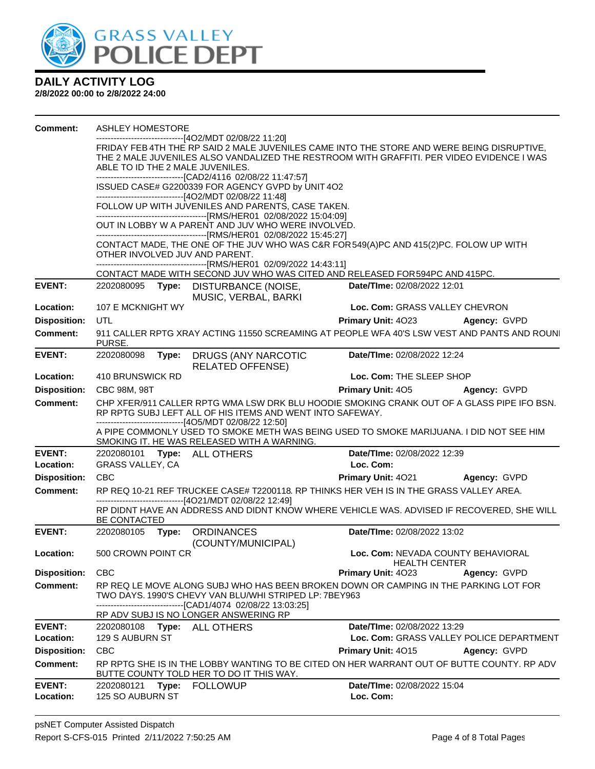

| <b>Comment:</b>     | <b>ASHLEY HOMESTORE</b>                                                                                              |       |                                                                                                                       |                                                                                             |                                          |  |
|---------------------|----------------------------------------------------------------------------------------------------------------------|-------|-----------------------------------------------------------------------------------------------------------------------|---------------------------------------------------------------------------------------------|------------------------------------------|--|
|                     |                                                                                                                      |       | ----------------------------------[4O2/MDT 02/08/22 11:20]                                                            |                                                                                             |                                          |  |
|                     |                                                                                                                      |       |                                                                                                                       | FRIDAY FEB 4TH THE RP SAID 2 MALE JUVENILES CAME INTO THE STORE AND WERE BEING DISRUPTIVE,  |                                          |  |
|                     |                                                                                                                      |       |                                                                                                                       | THE 2 MALE JUVENILES ALSO VANDALIZED THE RESTROOM WITH GRAFFITI. PER VIDEO EVIDENCE I WAS   |                                          |  |
|                     | ABLE TO ID THE 2 MALE JUVENILES.<br>-------------------------------[CAD2/4116 02/08/22 11:47:57]                     |       |                                                                                                                       |                                                                                             |                                          |  |
|                     |                                                                                                                      |       | ISSUED CASE# G2200339 FOR AGENCY GVPD by UNIT 4O2                                                                     |                                                                                             |                                          |  |
|                     |                                                                                                                      |       | -------------------------------[4O2/MDT 02/08/22 11:48]                                                               |                                                                                             |                                          |  |
|                     | FOLLOW UP WITH JUVENILES AND PARENTS, CASE TAKEN.<br>--------------------------------[RMS/HER01_02/08/2022 15:04:09] |       |                                                                                                                       |                                                                                             |                                          |  |
|                     | OUT IN LOBBY W A PARENT AND JUV WHO WERE INVOLVED.<br>-----------------------------[RMS/HER01_02/08/2022 15:45:27]   |       |                                                                                                                       |                                                                                             |                                          |  |
|                     |                                                                                                                      |       |                                                                                                                       | CONTACT MADE, THE ONE OF THE JUV WHO WAS C&R FOR 549(A)PC AND 415(2)PC. FOLOW UP WITH       |                                          |  |
|                     |                                                                                                                      |       | OTHER INVOLVED JUV AND PARENT.                                                                                        |                                                                                             |                                          |  |
|                     |                                                                                                                      |       |                                                                                                                       |                                                                                             |                                          |  |
|                     |                                                                                                                      |       |                                                                                                                       | CONTACT MADE WITH SECOND JUV WHO WAS CITED AND RELEASED FOR 594PC AND 415PC.                |                                          |  |
| <b>EVENT:</b>       |                                                                                                                      |       | 2202080095 Type: DISTURBANCE (NOISE,<br>MUSIC, VERBAL, BARKI                                                          | Date/TIme: 02/08/2022 12:01                                                                 |                                          |  |
| Location:           | 107 E MCKNIGHT WY                                                                                                    |       |                                                                                                                       | Loc. Com: GRASS VALLEY CHEVRON                                                              |                                          |  |
| <b>Disposition:</b> | UTL                                                                                                                  |       |                                                                                                                       | Primary Unit: 4023 Agency: GVPD                                                             |                                          |  |
| <b>Comment:</b>     | PURSE.                                                                                                               |       |                                                                                                                       | 911 CALLER RPTG XRAY ACTING 11550 SCREAMING AT PEOPLE WFA 40'S LSW VEST AND PANTS AND ROUNI |                                          |  |
| <b>EVENT:</b>       |                                                                                                                      |       | 2202080098 Type: DRUGS (ANY NARCOTIC<br><b>RELATED OFFENSE)</b>                                                       | Date/TIme: 02/08/2022 12:24                                                                 |                                          |  |
| Location:           | 410 BRUNSWICK RD                                                                                                     |       |                                                                                                                       | Loc. Com: THE SLEEP SHOP                                                                    |                                          |  |
| <b>Disposition:</b> | CBC 98M, 98T                                                                                                         |       |                                                                                                                       | Primary Unit: 405 Agency: GVPD                                                              |                                          |  |
| <b>Comment:</b>     |                                                                                                                      |       |                                                                                                                       | CHP XFER/911 CALLER RPTG WMA LSW DRK BLU HOODIE SMOKING CRANK OUT OF A GLASS PIPE IFO BSN.  |                                          |  |
|                     |                                                                                                                      |       | RP RPTG SUBJ LEFT ALL OF HIS ITEMS AND WENT INTO SAFEWAY.<br>--------------------------------[4O5/MDT 02/08/22 12:50] |                                                                                             |                                          |  |
|                     |                                                                                                                      |       | SMOKING IT. HE WAS RELEASED WITH A WARNING.                                                                           | A PIPE COMMONLY USED TO SMOKE METH WAS BEING USED TO SMOKE MARIJUANA. I DID NOT SEE HIM     |                                          |  |
| <b>EVENT:</b>       |                                                                                                                      |       | 2202080101 Type: ALL OTHERS                                                                                           | Date/TIme: 02/08/2022 12:39                                                                 |                                          |  |
| Location:           | GRASS VALLEY, CA                                                                                                     |       |                                                                                                                       | Loc. Com:                                                                                   |                                          |  |
| <b>Disposition:</b> | <b>CBC</b>                                                                                                           |       |                                                                                                                       | Primary Unit: 4021                                                                          | <b>Agency: GVPD</b>                      |  |
| <b>Comment:</b>     |                                                                                                                      |       | -------------------------[4O21/MDT 02/08/22 12:49]                                                                    | RP REQ 10-21 REF TRUCKEE CASE# T2200118. RP THINKS HER VEH IS IN THE GRASS VALLEY AREA.     |                                          |  |
|                     | BE CONTACTED                                                                                                         |       |                                                                                                                       | RP DIDNT HAVE AN ADDRESS AND DIDNT KNOW WHERE VEHICLE WAS. ADVISED IF RECOVERED, SHE WILL   |                                          |  |
| <b>EVENT:</b>       |                                                                                                                      |       | 2202080105 Type: ORDINANCES<br>(COUNTY/MUNICIPAL)                                                                     | Date/TIme: 02/08/2022 13:02                                                                 |                                          |  |
| Location:           | 500 CROWN POINT CR                                                                                                   |       |                                                                                                                       | Loc. Com: NEVADA COUNTY BEHAVIORAL<br><b>HEALTH CENTER</b>                                  |                                          |  |
| <b>Disposition:</b> | <b>CBC</b>                                                                                                           |       |                                                                                                                       | <b>Primary Unit: 4023</b>                                                                   | Agency: GVPD                             |  |
| Comment:            |                                                                                                                      |       | TWO DAYS. 1990'S CHEVY VAN BLU/WHI STRIPED LP: 7BEY963                                                                | RP REQ LE MOVE ALONG SUBJ WHO HAS BEEN BROKEN DOWN OR CAMPING IN THE PARKING LOT FOR        |                                          |  |
|                     |                                                                                                                      |       | -------------------------------[CAD1/4074 02/08/22 13:03:25]<br>RP ADV SUBJ IS NO LONGER ANSWERING RP                 |                                                                                             |                                          |  |
| <b>EVENT:</b>       | 2202080108 Type:                                                                                                     |       | ALL OTHERS                                                                                                            | Date/TIme: 02/08/2022 13:29                                                                 |                                          |  |
| Location:           | 129 S AUBURN ST                                                                                                      |       |                                                                                                                       |                                                                                             | Loc. Com: GRASS VALLEY POLICE DEPARTMENT |  |
| <b>Disposition:</b> | <b>CBC</b>                                                                                                           |       |                                                                                                                       | Primary Unit: 4015                                                                          | Agency: GVPD                             |  |
| <b>Comment:</b>     |                                                                                                                      |       |                                                                                                                       | RP RPTG SHE IS IN THE LOBBY WANTING TO BE CITED ON HER WARRANT OUT OF BUTTE COUNTY. RP ADV  |                                          |  |
|                     |                                                                                                                      |       | BUTTE COUNTY TOLD HER TO DO IT THIS WAY.                                                                              |                                                                                             |                                          |  |
| <b>EVENT:</b>       | 2202080121                                                                                                           | Type: | <b>FOLLOWUP</b>                                                                                                       | Date/TIme: 02/08/2022 15:04                                                                 |                                          |  |
| Location:           | 125 SO AUBURN ST                                                                                                     |       |                                                                                                                       | Loc. Com:                                                                                   |                                          |  |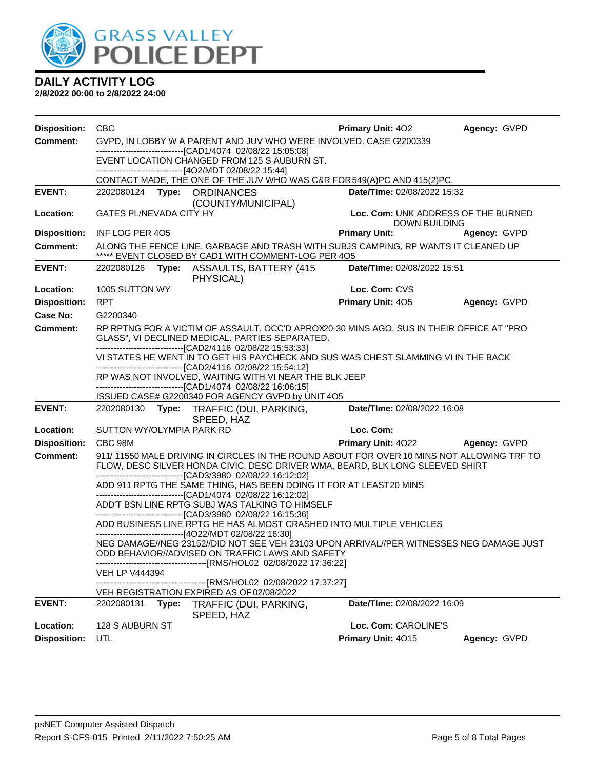

| <b>Disposition:</b> | <b>CBC</b>                                                                                                                                                                                                  | <b>Primary Unit: 402</b>                                    | Agency: GVPD |  |  |
|---------------------|-------------------------------------------------------------------------------------------------------------------------------------------------------------------------------------------------------------|-------------------------------------------------------------|--------------|--|--|
| <b>Comment:</b>     | GVPD, IN LOBBY W A PARENT AND JUV WHO WERE INVOLVED. CASE C2200339<br>-------------------------------[CAD1/4074 02/08/22 15:05:08]                                                                          |                                                             |              |  |  |
|                     | EVENT LOCATION CHANGED FROM 125 S AUBURN ST.                                                                                                                                                                |                                                             |              |  |  |
|                     | -------------------[4O2/MDT 02/08/22 15:44]<br>CONTACT MADE, THE ONE OF THE JUV WHO WAS C&R FOR 549(A)PC AND 415(2)PC.                                                                                      |                                                             |              |  |  |
| <b>EVENT:</b>       | 2202080124 Type: ORDINANCES                                                                                                                                                                                 | Date/TIme: 02/08/2022 15:32                                 |              |  |  |
| Location:           | (COUNTY/MUNICIPAL)<br>GATES PL/NEVADA CITY HY                                                                                                                                                               | Loc. Com: UNK ADDRESS OF THE BURNED<br><b>DOWN BUILDING</b> |              |  |  |
| <b>Disposition:</b> | INF LOG PER 405                                                                                                                                                                                             | <b>Primary Unit:</b>                                        | Agency: GVPD |  |  |
| <b>Comment:</b>     | ALONG THE FENCE LINE, GARBAGE AND TRASH WITH SUBJS CAMPING, RP WANTS IT CLEANED UP<br>***** EVENT CLOSED BY CAD1 WITH COMMENT-LOG PER 4O5                                                                   |                                                             |              |  |  |
| <b>EVENT:</b>       | 2202080126<br>Type: ASSAULTS, BATTERY (415)<br>PHYSICAL)                                                                                                                                                    | Date/TIme: 02/08/2022 15:51                                 |              |  |  |
| Location:           | 1005 SUTTON WY                                                                                                                                                                                              | Loc. Com: CVS                                               |              |  |  |
| <b>Disposition:</b> | <b>RPT</b>                                                                                                                                                                                                  | Primary Unit: 405                                           | Agency: GVPD |  |  |
| <b>Case No:</b>     | G2200340                                                                                                                                                                                                    |                                                             |              |  |  |
| <b>Comment:</b>     | RP RPTNG FOR A VICTIM OF ASSAULT, OCC'D APROX20-30 MINS AGO, SUS IN THEIR OFFICE AT "PRO<br>GLASS", VI DECLINED MEDICAL. PARTIES SEPARATED.<br>-------------------------------[CAD2/4116 02/08/22 15:53:33] |                                                             |              |  |  |
|                     | VI STATES HE WENT IN TO GET HIS PAYCHECK AND SUS WAS CHEST SLAMMING VI IN THE BACK<br>-------------------------------[CAD2/4116 02/08/22 15:54:12]                                                          |                                                             |              |  |  |
|                     | RP WAS NOT INVOLVED, WAITING WITH VI NEAR THE BLK JEEP                                                                                                                                                      |                                                             |              |  |  |
|                     | -------------------------------[CAD1/4074 02/08/22 16:06:15]<br>ISSUED CASE# G2200340 FOR AGENCY GVPD by UNIT 4O5                                                                                           |                                                             |              |  |  |
| <b>EVENT:</b>       | 2202080130 Type: TRAFFIC (DUI, PARKING,                                                                                                                                                                     | Date/TIme: 02/08/2022 16:08                                 |              |  |  |
| Location:           | SPEED, HAZ<br>SUTTON WY/OLYMPIA PARK RD                                                                                                                                                                     | Loc. Com:                                                   |              |  |  |
| <b>Disposition:</b> | CBC 98M                                                                                                                                                                                                     | <b>Primary Unit: 4022</b>                                   | Agency: GVPD |  |  |
| <b>Comment:</b>     | 911/11550 MALE DRIVING IN CIRCLES IN THE ROUND ABOUT FOR OVER 10 MINS NOT ALLOWING TRF TO                                                                                                                   |                                                             |              |  |  |
|                     | FLOW, DESC SILVER HONDA CIVIC. DESC DRIVER WMA, BEARD, BLK LONG SLEEVED SHIRT<br>---------------------------------[CAD3/3980 02/08/22 16:12:02]                                                             |                                                             |              |  |  |
|                     | ADD 911 RPTG THE SAME THING, HAS BEEN DOING IT FOR AT LEAST20 MINS<br>-------------------------------[CAD1/4074 02/08/22 16:12:02]                                                                          |                                                             |              |  |  |
|                     | ADD'T BSN LINE RPTG SUBJ WAS TALKING TO HIMSELF                                                                                                                                                             |                                                             |              |  |  |
|                     | -------------------------------[CAD3/3980 02/08/22 16:15:36]<br>ADD BUSINESS LINE RPTG HE HAS ALMOST CRASHED INTO MULTIPLE VEHICLES                                                                         |                                                             |              |  |  |
|                     | -------------------------------[4O22/MDT 02/08/22 16:30]<br>NEG DAMAGE//NEG 23152//DID NOT SEE VEH 23103 UPON ARRIVAL//PER WITNESSES NEG DAMAGE JUST<br>ODD BEHAVIOR//ADVISED ON TRAFFIC LAWS AND SAFETY    |                                                             |              |  |  |
|                     | -----------------[RMS/HOL02_02/08/2022 17:36:22]<br><b>VEH LP V444394</b>                                                                                                                                   |                                                             |              |  |  |
|                     | -------------[RMS/HOL02_02/08/2022 17:37:27]<br>VEH REGISTRATION EXPIRED AS OF 02/08/2022                                                                                                                   |                                                             |              |  |  |
| <b>EVENT:</b>       | 2202080131<br>Type:<br>TRAFFIC (DUI, PARKING,<br>SPEED, HAZ                                                                                                                                                 | Date/TIme: 02/08/2022 16:09                                 |              |  |  |
| Location:           | 128 S AUBURN ST                                                                                                                                                                                             | Loc. Com: CAROLINE'S                                        |              |  |  |
| <b>Disposition:</b> | UTL                                                                                                                                                                                                         | Primary Unit: 4015                                          | Agency: GVPD |  |  |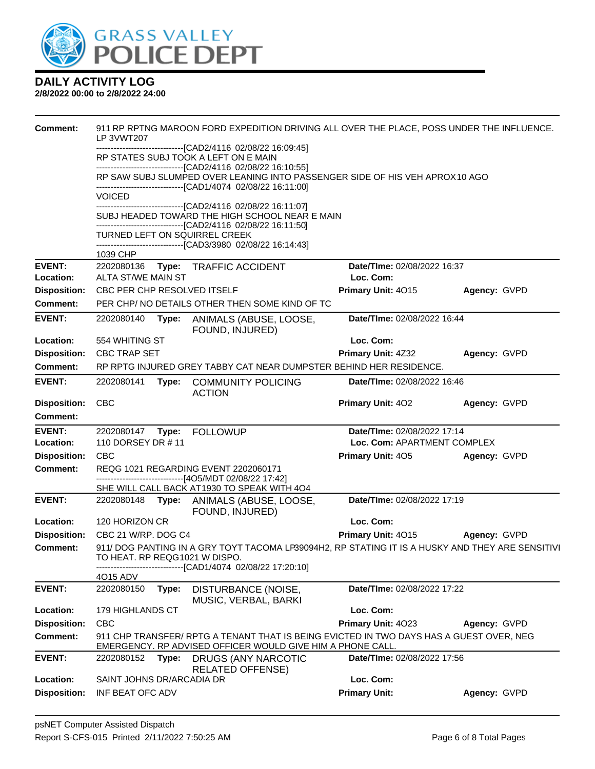

| <b>Comment:</b>                  | LP 3VWT207                                                                                                                                 |                                                                                                | 911 RP RPTNG MAROON FORD EXPEDITION DRIVING ALL OVER THE PLACE, POSS UNDER THE INFLUENCE.                                                             |                                   |                     |  |  |
|----------------------------------|--------------------------------------------------------------------------------------------------------------------------------------------|------------------------------------------------------------------------------------------------|-------------------------------------------------------------------------------------------------------------------------------------------------------|-----------------------------------|---------------------|--|--|
|                                  |                                                                                                                                            |                                                                                                | ---------------------[CAD2/4116 02/08/22 16:09:45]<br>RP STATES SUBJ TOOK A LEFT ON E MAIN                                                            |                                   |                     |  |  |
|                                  |                                                                                                                                            |                                                                                                | -------------------------------[CAD2/4116 02/08/22 16:10:55]                                                                                          |                                   |                     |  |  |
|                                  | RP SAW SUBJ SLUMPED OVER LEANING INTO PASSENGER SIDE OF HIS VEH APROX10 AGO<br>------------------------------[CAD1/4074 02/08/22 16:11:00] |                                                                                                |                                                                                                                                                       |                                   |                     |  |  |
|                                  | <b>VOICED</b><br>----------------------[CAD2/4116 02/08/22 16:11:07]                                                                       |                                                                                                |                                                                                                                                                       |                                   |                     |  |  |
|                                  |                                                                                                                                            |                                                                                                | SUBJ HEADED TOWARD THE HIGH SCHOOL NEAR E MAIN<br>------------------------------[CAD2/4116 02/08/22 16:11:50]                                         |                                   |                     |  |  |
|                                  |                                                                                                                                            |                                                                                                | <b>TURNED LEFT ON SQUIRREL CREEK</b>                                                                                                                  |                                   |                     |  |  |
|                                  | 1039 CHP                                                                                                                                   |                                                                                                | -------------------------------[CAD3/3980 02/08/22 16:14:43]                                                                                          |                                   |                     |  |  |
| <b>EVENT:</b>                    |                                                                                                                                            |                                                                                                | 2202080136 Type: TRAFFIC ACCIDENT                                                                                                                     | Date/TIme: 02/08/2022 16:37       |                     |  |  |
| Location:                        | ALTA ST/WE MAIN ST                                                                                                                         |                                                                                                |                                                                                                                                                       | Loc. Com:                         |                     |  |  |
| <b>Disposition:</b>              | CBC PER CHP RESOLVED ITSELF                                                                                                                |                                                                                                |                                                                                                                                                       | Primary Unit: 4015                | Agency: GVPD        |  |  |
| <b>Comment:</b>                  |                                                                                                                                            |                                                                                                | PER CHP/ NO DETAILS OTHER THEN SOME KIND OF TC                                                                                                        |                                   |                     |  |  |
| <b>EVENT:</b>                    | 2202080140                                                                                                                                 | Type:                                                                                          | ANIMALS (ABUSE, LOOSE,<br>FOUND, INJURED)                                                                                                             | Date/TIme: 02/08/2022 16:44       |                     |  |  |
| Location:                        | 554 WHITING ST                                                                                                                             |                                                                                                |                                                                                                                                                       | Loc. Com:                         |                     |  |  |
| <b>Disposition:</b>              | <b>CBC TRAP SET</b>                                                                                                                        |                                                                                                |                                                                                                                                                       | <b>Primary Unit: 4Z32</b>         | Agency: GVPD        |  |  |
| <b>Comment:</b>                  |                                                                                                                                            |                                                                                                | RP RPTG INJURED GREY TABBY CAT NEAR DUMPSTER BEHIND HER RESIDENCE.                                                                                    |                                   |                     |  |  |
| <b>EVENT:</b>                    | 2202080141                                                                                                                                 | Type:                                                                                          | <b>COMMUNITY POLICING</b><br><b>ACTION</b>                                                                                                            | Date/TIme: 02/08/2022 16:46       |                     |  |  |
| <b>Disposition:</b>              | <b>CBC</b>                                                                                                                                 |                                                                                                |                                                                                                                                                       | Primary Unit: 402                 | Agency: GVPD        |  |  |
| <b>Comment:</b>                  |                                                                                                                                            |                                                                                                |                                                                                                                                                       |                                   |                     |  |  |
| <b>EVENT:</b>                    |                                                                                                                                            |                                                                                                |                                                                                                                                                       | Date/TIme: 02/08/2022 17:14       |                     |  |  |
| Location:                        | 110 DORSEY DR #11                                                                                                                          |                                                                                                |                                                                                                                                                       | Loc. Com: APARTMENT COMPLEX       |                     |  |  |
| <b>Disposition:</b>              | <b>CBC</b>                                                                                                                                 |                                                                                                |                                                                                                                                                       | <b>Primary Unit: 405</b>          | Agency: GVPD        |  |  |
|                                  |                                                                                                                                            | REQG 1021 REGARDING EVENT 2202060171<br>------------------------------[4O5/MDT 02/08/22 17:42] |                                                                                                                                                       |                                   |                     |  |  |
| <b>Comment:</b>                  |                                                                                                                                            |                                                                                                |                                                                                                                                                       |                                   |                     |  |  |
|                                  |                                                                                                                                            |                                                                                                | SHE WILL CALL BACK AT1930 TO SPEAK WITH 4O4                                                                                                           |                                   |                     |  |  |
| <b>EVENT:</b>                    |                                                                                                                                            |                                                                                                | 2202080148 Type: ANIMALS (ABUSE, LOOSE,                                                                                                               | Date/TIme: 02/08/2022 17:19       |                     |  |  |
| Location:                        | 120 HORIZON CR                                                                                                                             |                                                                                                | FOUND, INJURED)                                                                                                                                       | Loc. Com:                         |                     |  |  |
| <b>Disposition:</b>              | CBC 21 W/RP. DOG C4                                                                                                                        |                                                                                                |                                                                                                                                                       | Primary Unit: 4015                | <b>Agency: GVPD</b> |  |  |
| Comment:                         | TO HEAT. RP REQG1021 W DISPO.                                                                                                              |                                                                                                | 911/ DOG PANTING IN A GRY TOYT TACOMA LP39094H2, RP STATING IT IS A HUSKY AND THEY ARE SENSITIVI                                                      |                                   |                     |  |  |
|                                  | 4015 ADV                                                                                                                                   |                                                                                                | -------------------[CAD1/4074_02/08/22 17:20:10]                                                                                                      |                                   |                     |  |  |
| <b>EVENT:</b>                    | 2202080150                                                                                                                                 | Type:                                                                                          | DISTURBANCE (NOISE,                                                                                                                                   | Date/TIme: 02/08/2022 17:22       |                     |  |  |
| Location:                        | 179 HIGHLANDS CT                                                                                                                           |                                                                                                | MUSIC, VERBAL, BARKI                                                                                                                                  | Loc. Com:                         |                     |  |  |
| <b>Disposition:</b>              | <b>CBC</b>                                                                                                                                 |                                                                                                |                                                                                                                                                       | Primary Unit: 4023                | Agency: GVPD        |  |  |
| Comment:                         |                                                                                                                                            |                                                                                                | 911 CHP TRANSFER/ RPTG A TENANT THAT IS BEING EVICTED IN TWO DAYS HAS A GUEST OVER, NEG<br>EMERGENCY. RP ADVISED OFFICER WOULD GIVE HIM A PHONE CALL. |                                   |                     |  |  |
| <b>EVENT:</b>                    | 2202080152                                                                                                                                 | Type:                                                                                          | <b>DRUGS (ANY NARCOTIC</b><br><b>RELATED OFFENSE)</b>                                                                                                 | Date/TIme: 02/08/2022 17:56       |                     |  |  |
| Location:<br><b>Disposition:</b> | SAINT JOHNS DR/ARCADIA DR                                                                                                                  |                                                                                                |                                                                                                                                                       | Loc. Com:<br><b>Primary Unit:</b> | Agency: GVPD        |  |  |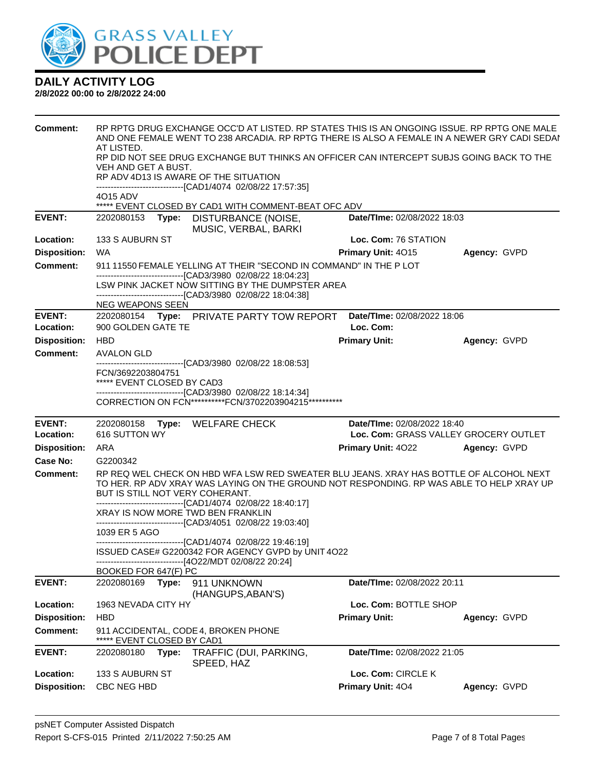

| Comment:                         | AT LISTED.<br>VEH AND GET A BUST.<br>RP ADV 4D13 IS AWARE OF THE SITUATION | RP RPTG DRUG EXCHANGE OCC'D AT LISTED. RP STATES THIS IS AN ONGOING ISSUE. RP RPTG ONE MALE<br>AND ONE FEMALE WENT TO 238 ARCADIA. RP RPTG THERE IS ALSO A FEMALE IN A NEWER GRY CADI SEDAI<br>RP DID NOT SEE DRUG EXCHANGE BUT THINKS AN OFFICER CAN INTERCEPT SUBJS GOING BACK TO THE<br>-------------------------------[CAD1/4074 02/08/22 17:57:35] |                                         |              |
|----------------------------------|----------------------------------------------------------------------------|---------------------------------------------------------------------------------------------------------------------------------------------------------------------------------------------------------------------------------------------------------------------------------------------------------------------------------------------------------|-----------------------------------------|--------------|
|                                  | 4015 ADV                                                                   | ***** EVENT CLOSED BY CAD1 WITH COMMENT-BEAT OFC ADV                                                                                                                                                                                                                                                                                                    |                                         |              |
| <b>EVENT:</b>                    | 2202080153<br>Type:                                                        | DISTURBANCE (NOISE,<br>MUSIC, VERBAL, BARKI                                                                                                                                                                                                                                                                                                             | Date/TIme: 02/08/2022 18:03             |              |
| Location:                        | 133 S AUBURN ST                                                            |                                                                                                                                                                                                                                                                                                                                                         | Loc. Com: 76 STATION                    |              |
| <b>Disposition:</b>              | <b>WA</b>                                                                  |                                                                                                                                                                                                                                                                                                                                                         | <b>Primary Unit: 4015</b>               | Agency: GVPD |
| <b>Comment:</b>                  |                                                                            | 911 11550 FEMALE YELLING AT THEIR "SECOND IN COMMAND" IN THE P LOT<br>-------------------------------[CAD3/3980 02/08/22 18:04:23]                                                                                                                                                                                                                      |                                         |              |
|                                  |                                                                            | LSW PINK JACKET NOW SITTING BY THE DUMPSTER AREA<br>-------------------------------[CAD3/3980 02/08/22 18:04:38]                                                                                                                                                                                                                                        |                                         |              |
| <b>EVENT:</b>                    | NEG WEAPONS SEEN                                                           | 2202080154 Type: PRIVATE PARTY TOW REPORT                                                                                                                                                                                                                                                                                                               | Date/TIme: 02/08/2022 18:06             |              |
| Location:                        | 900 GOLDEN GATE TE                                                         |                                                                                                                                                                                                                                                                                                                                                         | Loc. Com:                               |              |
| <b>Disposition:</b>              | <b>HBD</b>                                                                 |                                                                                                                                                                                                                                                                                                                                                         | <b>Primary Unit:</b>                    | Agency: GVPD |
| <b>Comment:</b>                  | <b>AVALON GLD</b>                                                          |                                                                                                                                                                                                                                                                                                                                                         |                                         |              |
|                                  | FCN/3692203804751<br>***** EVENT CLOSED BY CAD3                            | ---------------------------------[CAD3/3980 02/08/22 18:08:53]                                                                                                                                                                                                                                                                                          |                                         |              |
|                                  |                                                                            | -------------------------------[CAD3/3980 02/08/22 18:14:34]<br>CORRECTION ON FCN***********FCN/3702203904215***********                                                                                                                                                                                                                                |                                         |              |
|                                  |                                                                            |                                                                                                                                                                                                                                                                                                                                                         |                                         |              |
| <b>EVENT:</b>                    | 2202080158 Type: WELFARE CHECK                                             |                                                                                                                                                                                                                                                                                                                                                         | Date/TIme: 02/08/2022 18:40             |              |
| Location:                        | 616 SUTTON WY                                                              |                                                                                                                                                                                                                                                                                                                                                         | Loc. Com: GRASS VALLEY GROCERY OUTLET   |              |
| <b>Disposition:</b>              | ARA                                                                        |                                                                                                                                                                                                                                                                                                                                                         | <b>Primary Unit: 4022</b>               | Agency: GVPD |
| Case No:                         | G2200342                                                                   |                                                                                                                                                                                                                                                                                                                                                         |                                         |              |
| Comment:                         | BUT IS STILL NOT VERY COHERANT.                                            | RP REQ WEL CHECK ON HBD WFA LSW RED SWEATER BLU JEANS. XRAY HAS BOTTLE OF ALCOHOL NEXT<br>TO HER. RP ADV XRAY WAS LAYING ON THE GROUND NOT RESPONDING. RP WAS ABLE TO HELP XRAY UP                                                                                                                                                                      |                                         |              |
|                                  | XRAY IS NOW MORE TWD BEN FRANKLIN                                          | ------------------------------[CAD1/4074 02/08/22 18:40:17]<br>-------------------------------[CAD3/4051 02/08/22 19:03:40]                                                                                                                                                                                                                             |                                         |              |
|                                  | 1039 ER 5 AGO                                                              |                                                                                                                                                                                                                                                                                                                                                         |                                         |              |
|                                  |                                                                            | -------------------------------[CAD1/4074 02/08/22 19:46:19]<br>ISSUED CASE# G2200342 FOR AGENCY GVPD by UNIT 4O22<br>------------------------------[4O22/MDT 02/08/22 20:24]                                                                                                                                                                           |                                         |              |
|                                  | BOOKED FOR 647(F) PC                                                       |                                                                                                                                                                                                                                                                                                                                                         |                                         |              |
| <b>EVENT:</b>                    | 2202080169<br>Type:                                                        | 911 UNKNOWN<br>(HANGUPS, ABAN'S)                                                                                                                                                                                                                                                                                                                        | Date/TIme: 02/08/2022 20:11             |              |
| Location:                        | 1963 NEVADA CITY HY                                                        |                                                                                                                                                                                                                                                                                                                                                         | Loc. Com: BOTTLE SHOP                   |              |
| <b>Disposition:</b>              | HBD                                                                        |                                                                                                                                                                                                                                                                                                                                                         | <b>Primary Unit:</b>                    | Agency: GVPD |
| <b>Comment:</b>                  | 911 ACCIDENTAL, CODE 4, BROKEN PHONE<br>EVENT CLOSED BY CAD1               |                                                                                                                                                                                                                                                                                                                                                         |                                         |              |
| <b>EVENT:</b>                    | 2202080180<br>Type:                                                        | TRAFFIC (DUI, PARKING,<br>SPEED, HAZ                                                                                                                                                                                                                                                                                                                    | Date/TIme: 02/08/2022 21:05             |              |
| Location:<br><b>Disposition:</b> | 133 S AUBURN ST<br>CBC NEG HBD                                             |                                                                                                                                                                                                                                                                                                                                                         | Loc. Com: CIRCLE K<br>Primary Unit: 404 | Agency: GVPD |